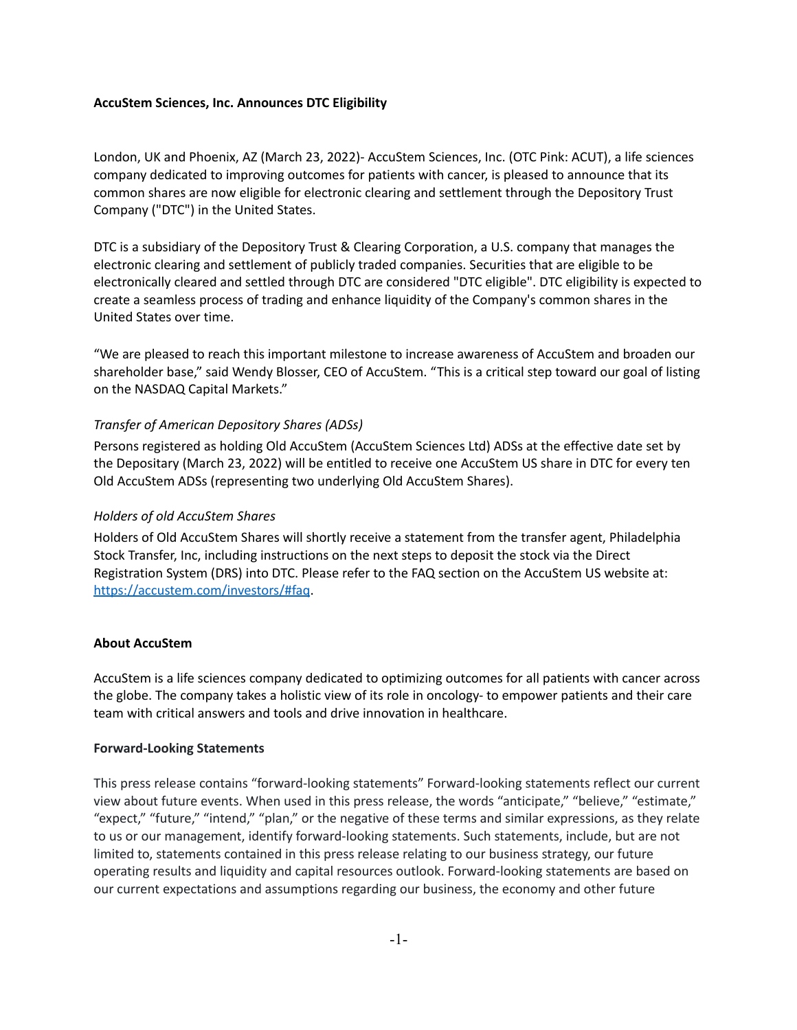## **AccuStem Sciences, Inc. Announces DTC Eligibility**

London, UK and Phoenix, AZ (March 23, 2022)- AccuStem Sciences, Inc. (OTC Pink: ACUT), a life sciences company dedicated to improving outcomes for patients with cancer, is pleased to announce that its common shares are now eligible for electronic clearing and settlement through the Depository Trust Company ("DTC") in the United States.

DTC is a subsidiary of the Depository Trust & Clearing Corporation, a U.S. company that manages the electronic clearing and settlement of publicly traded companies. Securities that are eligible to be electronically cleared and settled through DTC are considered "DTC eligible". DTC eligibility is expected to create a seamless process of trading and enhance liquidity of the Company's common shares in the United States over time.

"We are pleased to reach this important milestone to increase awareness of AccuStem and broaden our shareholder base," said Wendy Blosser, CEO of AccuStem. "This is a critical step toward our goal of listing on the NASDAQ Capital Markets."

# *Transfer of American Depository Shares (ADSs)*

Persons registered as holding Old AccuStem (AccuStem Sciences Ltd) ADSs at the effective date set by the Depositary (March 23, 2022) will be entitled to receive one AccuStem US share in DTC for every ten Old AccuStem ADSs (representing two underlying Old AccuStem Shares).

### *Holders of old AccuStem Shares*

Holders of Old AccuStem Shares will shortly receive a statement from the transfer agent, Philadelphia Stock Transfer, Inc, including instructions on the next steps to deposit the stock via the Direct Registration System (DRS) into DTC. Please refer to the FAQ section on the AccuStem US website at: <https://accustem.com/investors/#faq>.

#### **About AccuStem**

AccuStem is a life sciences company dedicated to optimizing outcomes for all patients with cancer across the globe. The company takes a holistic view of its role in oncology- to empower patients and their care team with critical answers and tools and drive innovation in healthcare.

#### **Forward-Looking Statements**

This press release contains "forward-looking statements" Forward-looking statements reflect our current view about future events. When used in this press release, the words "anticipate," "believe," "estimate," "expect," "future," "intend," "plan," or the negative of these terms and similar expressions, as they relate to us or our management, identify forward-looking statements. Such statements, include, but are not limited to, statements contained in this press release relating to our business strategy, our future operating results and liquidity and capital resources outlook. Forward-looking statements are based on our current expectations and assumptions regarding our business, the economy and other future